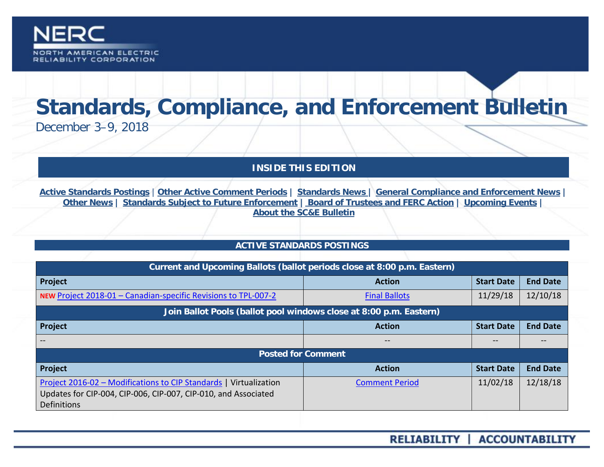

# **Standards, Compliance, and Enforcement Bulletin**

December 3–9, 2018

# **INSIDE THIS EDITION**

**Active Standards Postings** | **[Other Active Comment Periods](#page-1-0) | [Standards News](#page-1-1) | [General Compliance and Enforcement News](#page-1-2) | [Other News](#page-2-0) | [Standards Subject to Future Enforcement](#page-3-0) | Board of Trustees and FERC Action | Upcoming Events | [About the SC&E](#page-5-0) Bulletin**

# **ACTIVE STANDARDS POSTINGS**

| Current and Upcoming Ballots (ballot periods close at 8:00 p.m. Eastern)                                                                                  |                       |                   |                 |  |
|-----------------------------------------------------------------------------------------------------------------------------------------------------------|-----------------------|-------------------|-----------------|--|
| Project                                                                                                                                                   | <b>Action</b>         | <b>Start Date</b> | <b>End Date</b> |  |
| NEW Project 2018-01 - Canadian-specific Revisions to TPL-007-2                                                                                            | <b>Final Ballots</b>  | 11/29/18          | 12/10/18        |  |
| Join Ballot Pools (ballot pool windows close at 8:00 p.m. Eastern)                                                                                        |                       |                   |                 |  |
| Project                                                                                                                                                   | <b>Action</b>         | <b>Start Date</b> | <b>End Date</b> |  |
|                                                                                                                                                           | $- -$                 | --                | $- -$           |  |
| <b>Posted for Comment</b>                                                                                                                                 |                       |                   |                 |  |
| Project                                                                                                                                                   | <b>Action</b>         | <b>Start Date</b> | <b>End Date</b> |  |
| Project 2016-02 - Modifications to CIP Standards   Virtualization<br>Updates for CIP-004, CIP-006, CIP-007, CIP-010, and Associated<br><b>Definitions</b> | <b>Comment Period</b> | 11/02/18          | 12/18/18        |  |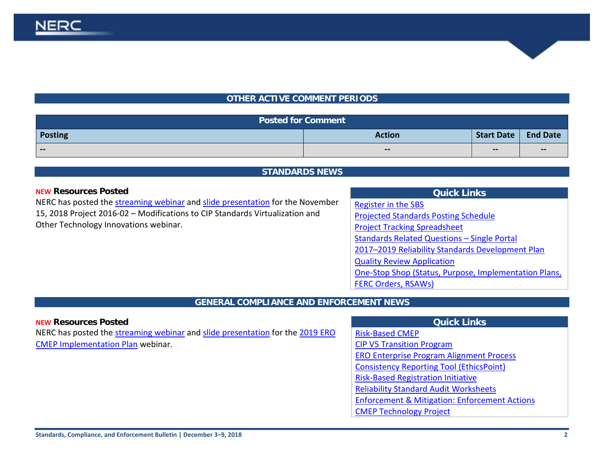# **OTHER ACTIVE COMMENT PERIODS**

<span id="page-1-0"></span>

| <b>Posted for Comment</b> |                                                |                                       |                 |
|---------------------------|------------------------------------------------|---------------------------------------|-----------------|
| <b>Posting</b>            | <b>Action</b>                                  | Start Date                            | <b>End Date</b> |
| $\sim$ $\sim$             | $\hspace{0.1mm}-\hspace{0.1mm}-\hspace{0.1mm}$ | $\hspace{0.05cm}$ – $\hspace{0.05cm}$ | $\sim$ $\sim$   |

#### **STANDARDS NEWS**

#### <span id="page-1-1"></span>**NEW Resources Posted**

NERC has posted the [streaming webinar](https://nerc.webex.com/nerc/lsr.php?RCID=49828de0d5288aa84e7c6c12c70dd7f9) and [slide presentation](https://www.nerc.com/pa/Stand/Project%20201602%20Modifications%20to%20CIP%20Standards%20RF/2016-02_Virtualization_Webinar_Slides_11152018.pdf) for the November 15, 2018 Project 2016-02 – Modifications to CIP Standards Virtualization and Other Technology Innovations webinar.

### **Quick Links**

[Register in the SBS](https://sbs.nerc.net/) [Projected Standards Posting Schedule](http://www.nerc.com/pa/Stand/Documents/Projected_Posting_Schedule.pdf)

[Project Tracking Spreadsheet](http://www.nerc.com/comm/SC/_layouts/xlviewer.aspx?id=/comm/SC/Project%20Management%20and%20Oversight%20Subcommittee%20DL/Project%20Tracking%20Spreadsheet.xlsx&Source=http%3A%2F%2Fwww%2Eqa%2Enerc%2Ecom%2Fcomm%2FSC%2FProject%2520Management%2520and%2520Oversi)

[Standards Related Questions –](https://www.nerc.com/pa/Stand/Documents/Single_Portal_V2_2017.pdf) Single Portal

[2017–2019 Reliability Standards Development Plan](http://www.nerc.com/pa/Stand/Standards%20Development%20Plan%20Library/2017-2019_RSDP_for_Board_09272016.pdf) 

[Quality Review Application](https://www.nerc.net/nercsurvey/Survey.aspx?s=bd89c1a0a0da443bbcc2416f868de383)

[One-Stop Shop \(Status, Purpose, Implementation Plans,](https://www.nerc.com/pa/Stand/Standard%20Purpose%20Statement%20DL/US_Standard_One-Stop-Shop.xlsx) 

[FERC Orders, RSAWs\)](https://www.nerc.com/pa/Stand/Standard%20Purpose%20Statement%20DL/US_Standard_One-Stop-Shop.xlsx)

# **GENERAL COMPLIANCE AND ENFORCEMENT NEWS**

<span id="page-1-2"></span>

| <b>NEW Resources Posted</b>                                                   | <b>Quick Links</b>                              |
|-------------------------------------------------------------------------------|-------------------------------------------------|
| NERC has posted the streaming webinar and slide presentation for the 2019 ERO | <b>Risk-Based CMEP</b>                          |
| <b>CMEP Implementation Plan webinar.</b>                                      | <b>CIP V5 Transition Program</b>                |
|                                                                               | <b>ERO Enterprise Program Alignment Process</b> |
|                                                                               | Consistency Reporting Tool (EthicsPoint)        |
|                                                                               | Diel: Dessal Daaistustism Initiative            |

[Risk-Based Registration Initiative](http://www.nerc.com/pa/comp/CAC/Pages/Risk-Based%20Registration.aspx)

[Reliability Standard Audit Worksheets](http://www.nerc.com/pa/comp/Pages/Reliability-Standard-Audit-Worksheets-(RSAWs).aspx)

[Enforcement & Mitigation: Enforcement Actions](http://www.nerc.com/pa/comp/CE/Pages/Enforcement-and-Mitigation.aspx)

[CMEP Technology Project](https://www.nerc.com/ResourceCenter/Pages/CMEPTechnologyProject.aspx)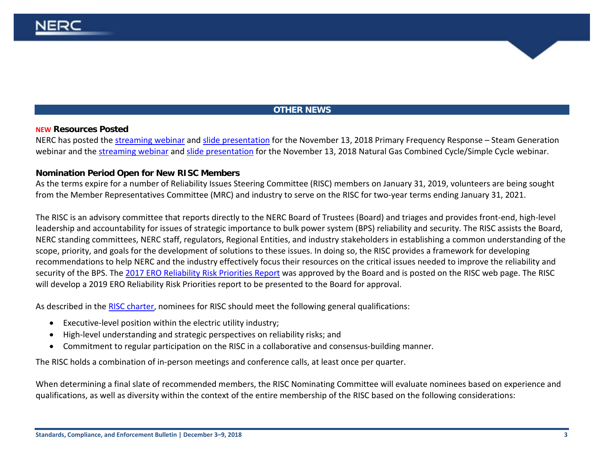# **OTHER NEWS**

#### <span id="page-2-0"></span>**NEW Resources Posted**

NERC has posted the [streaming webinar](https://nerc.webex.com/nerc/onstage/playback.php?RCID=c64f2bae3a8c47e49c9a9f93cf97aac2) and [slide presentation](https://www.nerc.com/pa/rrm/Documents/PFR_Steam_Generation_Webinar_Presentations_20181113.pdf) for the November 13, 2018 Primary Frequency Response – Steam Generation webinar and the [streaming webinar](https://nerc.webex.com/nerc/onstage/playback.php?RCID=9c562dd9f447bc60b7f997cc2efa68bf) an[d slide presentation](https://www.nerc.com/pa/rrm/Documents/PFR_Natural_Gas_Combined_Cycle_Presentations_20181113.pdf) for the November 13, 2018 Natural Gas Combined Cycle/Simple Cycle webinar.

#### **Nomination Period Open for New RISC Members**

As the terms expire for a number of Reliability Issues Steering Committee (RISC) members on January 31, 2019, volunteers are being sought from the Member Representatives Committee (MRC) and industry to serve on the RISC for two-year terms ending January 31, 2021.

The RISC is an advisory committee that reports directly to the NERC Board of Trustees (Board) and triages and provides front-end, high-level leadership and accountability for issues of strategic importance to bulk power system (BPS) reliability and security. The RISC assists the Board, NERC standing committees, NERC staff, regulators, Regional Entities, and industry stakeholders in establishing a common understanding of the scope, priority, and goals for the development of solutions to these issues. In doing so, the RISC provides a framework for developing recommendations to help NERC and the industry effectively focus their resources on the critical issues needed to improve the reliability and security of the BPS. The [2017 ERO Reliability Risk Priorities Report](https://www.nerc.com/comm/RISC/Related%20Files%20DL/ERO-Reliability-_Risk_Priorities-Report_Board_Accepted_February_2018.pdf) was approved by the Board and is posted on the RISC web page. The RISC will develop a 2019 ERO Reliability Risk Priorities report to be presented to the Board for approval.

As described in the RISC [charter,](http://www.nerc.com/comm/RISC/Documents/RISC_Charter_2015.pdf) nominees for RISC should meet the following general qualifications:

- Executive-level position within the electric utility industry;
- High-level understanding and strategic perspectives on reliability risks; and
- Commitment to regular participation on the RISC in a collaborative and consensus-building manner.

The RISC holds a combination of in-person meetings and conference calls, at least once per quarter.

When determining a final slate of recommended members, the RISC Nominating Committee will evaluate nominees based on experience and qualifications, as well as diversity within the context of the entire membership of the RISC based on the following considerations: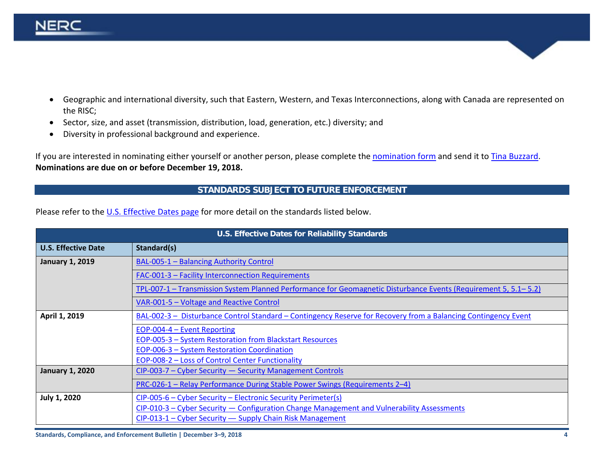

- Geographic and international diversity, such that Eastern, Western, and Texas Interconnections, along with Canada are represented on the RISC;
- Sector, size, and asset (transmission, distribution, load, generation, etc.) diversity; and
- Diversity in professional background and experience.

If you are interested in nominating either yourself or another person, please complete the [nomination form](https://www.nerc.com/comm/RISC/Pages/2019-Nominations.aspx) and send it to [Tina Buzzard.](mailto:tina.buzzard@nerc.net) **Nominations are due on or before December 19, 2018.**

#### <span id="page-3-0"></span>**STANDARDS SUBJECT TO FUTURE ENFORCEMENT**

Please refer to th[e U.S. Effective](http://www.nerc.net/standardsreports/standardssummary.aspx) Dates page for more detail on the standards listed below.

| <b>U.S. Effective Dates for Reliability Standards</b> |                                                                                                                 |  |
|-------------------------------------------------------|-----------------------------------------------------------------------------------------------------------------|--|
| <b>U.S. Effective Date</b>                            | Standard(s)                                                                                                     |  |
| <b>January 1, 2019</b>                                | <b>BAL-005-1 - Balancing Authority Control</b>                                                                  |  |
|                                                       | <b>FAC-001-3 - Facility Interconnection Requirements</b>                                                        |  |
|                                                       | TPL-007-1 – Transmission System Planned Performance for Geomagnetic Disturbance Events (Requirement 5, 5.1–5.2) |  |
|                                                       | VAR-001-5 - Voltage and Reactive Control                                                                        |  |
| April 1, 2019                                         | BAL-002-3 - Disturbance Control Standard - Contingency Reserve for Recovery from a Balancing Contingency Event  |  |
|                                                       | EOP-004-4 - Event Reporting                                                                                     |  |
|                                                       | EOP-005-3 - System Restoration from Blackstart Resources                                                        |  |
|                                                       | <b>EOP-006-3 - System Restoration Coordination</b>                                                              |  |
|                                                       | EOP-008-2 - Loss of Control Center Functionality                                                                |  |
| <b>January 1, 2020</b>                                | CIP-003-7 - Cyber Security - Security Management Controls                                                       |  |
|                                                       | PRC-026-1 - Relay Performance During Stable Power Swings (Requirements 2-4)                                     |  |
| <b>July 1, 2020</b>                                   | CIP-005-6 – Cyber Security – Electronic Security Perimeter(s)                                                   |  |
|                                                       | CIP-010-3 - Cyber Security - Configuration Change Management and Vulnerability Assessments                      |  |
|                                                       | CIP-013-1 - Cyber Security - Supply Chain Risk Management                                                       |  |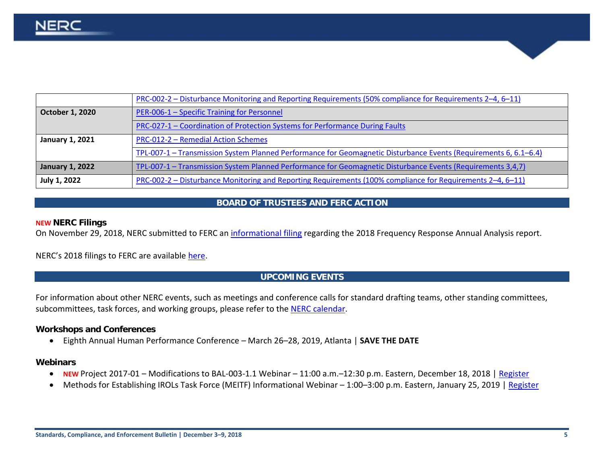|                        | PRC-002-2 – Disturbance Monitoring and Reporting Requirements (50% compliance for Requirements 2–4, 6–11)        |
|------------------------|------------------------------------------------------------------------------------------------------------------|
| October 1, 2020        | PER-006-1 - Specific Training for Personnel                                                                      |
|                        | PRC-027-1 - Coordination of Protection Systems for Performance During Faults                                     |
| <b>January 1, 2021</b> | PRC-012-2 - Remedial Action Schemes                                                                              |
|                        | TPL-007-1 – Transmission System Planned Performance for Geomagnetic Disturbance Events (Requirements 6, 6.1–6.4) |
| <b>January 1, 2022</b> | TPL-007-1 – Transmission System Planned Performance for Geomagnetic Disturbance Events (Requirements 3,4,7)      |
| <b>July 1, 2022</b>    | PRC-002-2 – Disturbance Monitoring and Reporting Requirements (100% compliance for Requirements 2-4, 6-11)       |

#### **BOARD OF TRUSTEES AND FERC ACTION**

#### **NEW NERC Filings**

On November 29, 2018, NERC submitted to FERC an [informational filing](https://www.nerc.com/FilingsOrders/us/NERC%20Filings%20to%20FERC%20DL/2018%20Frequency%20Reponse%20Annual%20Analysis%20Info%20Filing.pdf) regarding the 2018 Frequency Response Annual Analysis report.

NERC's 2018 filings to FERC are available [here.](http://www.nerc.com/FilingsOrders/us/Pages/NERCFilings2018.aspx)

#### **UPCOMING EVENTS**

For information about other NERC events, such as meetings and conference calls for standard drafting teams, other standing committees, subcommittees, task forces, and working groups, please refer to the [NERC calendar.](http://www.nerc.com/Pages/Calendar.aspx)

#### **Workshops and Conferences**

• Eighth Annual Human Performance Conference – March 26–28, 2019, Atlanta | **SAVE THE DATE**

#### **Webinars**

- **NEW** Project 2017-01 Modifications to BAL-003-1.1 Webinar 11:00 a.m.–12:30 p.m. Eastern, December 18, 2018 | [Register](https://nerc.webex.com/nerc/onstage/g.php?MTID=e9585d59846bc9054e8e44b240905baf6)
- Methods for Establishing IROLs Task Force (MEITF) Informational Webinar 1:00-3:00 p.m. Eastern, January 25, 2019 | [Register](https://www.nerc.com/pa/RAPA/Lists/RAPA/DispForm.aspx?ID=315)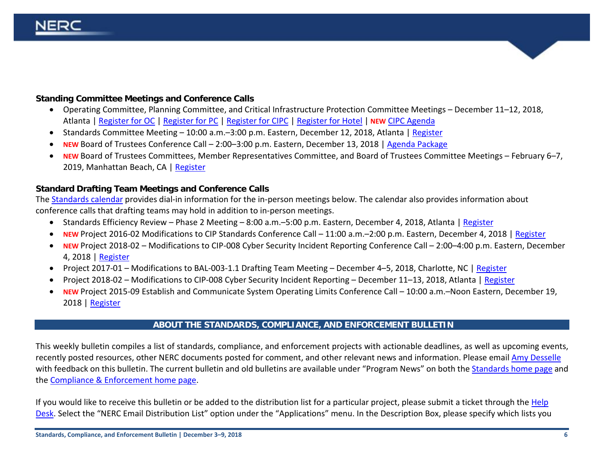# **Standing Committee Meetings and Conference Calls**

- Operating Committee, Planning Committee, and Critical Infrastructure Protection Committee Meetings December 11–12, 2018, Atlanta | [Register for OC](https://www.eventbrite.com/e/operating-committee-meeting-december-2018-registration-51257563753) | [Register for PC](https://www.eventbrite.com/e/planning-committee-meeting-december-2018-registration-51258021121) | [Register for CIPC](https://www.eventbrite.com/e/critical-infrastructure-protection-committee-meeting-december-2018-registration-51258172574) | [Register for Hotel](https://www.starwoodmeeting.com/events/start.action?id=1803192140&key=2FBAEC6E) | **NEW** [CIPC Agenda](https://www.nerc.com/comm/CIPC/Agendas%20Highlights%20and%20Minutes%202013/CIPC%20Agenda%20Package%20December%202018.pdf)
- Standards Committee Meeting 10:00 a.m. 3:00 p.m. Eastern, December 12, 2018, Atlanta [| Register](https://www.nerc.com/pa/Stand/Lists/stand/DispForm.aspx?ID=814&Source=https%3A%2F%2Fwww%2Enerc%2Ecom%2Fpa%2FStand%2FPages%2FCalendar%2Easpx)
- **NEW** Board of Trustees Conference Call 2:00–3:00 p.m. Eastern, December 13, 2018 | [Agenda Package](https://www.nerc.com/gov/bot/Agenda%20highlights%20and%20Mintues%202013/Board_of_Trustees_Meeting_December_13_2018_Agenda_Package_PARTICIPANT.pdf)
- **NEW** Board of Trustees Committees, Member Representatives Committee, and Board of Trustees Committee Meetings February 6–7, 2019, Manhattan Beach, CA | [Register](https://www.eventbrite.com/e/nerc-board-of-trustees-and-member-representatives-committee-meetings-registration-53125319260)

# **Standard Drafting Team Meetings and Conference Calls**

Th[e Standards calendar](http://www.nerc.com/pa/Stand/Pages/Calendar.aspx) provides dial-in information for the in-person meetings below. The calendar also provides information about conference calls that drafting teams may hold in addition to in-person meetings.

- Standards Efficiency Review Phase 2 Meeting 8:00 a.m.–5:00 p.m. Eastern, December 4, 2018, Atlanta | [Register](https://www.nerc.com/pa/Stand/Lists/stand/DispForm.aspx?ID=915&Source=https%3A%2F%2Fwww%2Enerc%2Ecom%2Fpa%2FStand%2FPages%2FCalendar%2Easpx)
- **NEW** Project 2016-02 Modifications to CIP Standards Conference Call 11:00 a.m.–2:00 p.m. Eastern, December 4, 2018 | [Register](https://www.nerc.com/pa/Stand/Lists/stand/DispForm.aspx?ID=927&Source=https%3A%2F%2Fwww%2Enerc%2Ecom%2Fpa%2FStand%2FPages%2FCalendar%2Easpx)
- **NEW** Project 2018-02 Modifications to CIP-008 Cyber Security Incident Reporting Conference Call 2:00–4:00 p.m. Eastern, December 4, 2018 | [Register](https://www.nerc.com/pa/Stand/Lists/stand/DispForm.aspx?ID=926&Source=https%3A%2F%2Fwww%2Enerc%2Ecom%2Fpa%2FStand%2FPages%2FCalendar%2Easpx)
- Project 2017-01 Modifications to BAL-003-1.1 Drafting Team Meeting December 4–5, 2018, Charlotte, NC [| Register](https://www.nerc.com/pa/Stand/Lists/stand/DispForm.aspx?ID=911&Source=https%3A%2F%2Fwww%2Enerc%2Ecom%2Fpa%2FStand%2FPages%2FCalendar%2Easpx)
- Project 2018-02 Modifications to CIP-008 Cyber Security Incident Reporting December 11–13, 2018, Atlanta | [Register](https://www.nerc.com/pa/Stand/Lists/stand/DispForm.aspx?ID=914&Source=https%3A%2F%2Fwww%2Enerc%2Ecom%2Fpa%2FStand%2FPages%2FCalendar%2Easpx)
- **NEW** Project 2015-09 Establish and Communicate System Operating Limits Conference Call 10:00 a.m.–Noon Eastern, December 19, 2018 | [Register](https://www.nerc.com/pa/Stand/Lists/stand/DispForm.aspx?ID=924&Source=https%3A%2F%2Fwww%2Enerc%2Ecom%2Fpa%2FStand%2FPages%2FCalendar%2Easpx)

#### **ABOUT THE STANDARDS, COMPLIANCE, AND ENFORCEMENT BULLETIN**

<span id="page-5-0"></span>This weekly bulletin compiles a list of standards, compliance, and enforcement projects with actionable deadlines, as well as upcoming events, recently posted resources, other NERC documents posted for comment, and other relevant news and information. Please email [Amy Desselle](mailto:amy.desselle@nerc.net) with feedback on this bulletin. The current bulletin and old bulletins are available under "Program News" on both th[e Standards home page](http://www.nerc.com/pa/Stand/Pages/default.aspx) and the [Compliance & Enforcement home page.](http://www.nerc.com/pa/comp/Pages/default.aspx)

If you would like to receive this bulletin or be added to the distribution list for a particular project, please submit a ticket through the Help [Desk.](https://support.nerc.net/) Select the "NERC Email Distribution List" option under the "Applications" menu. In the Description Box, please specify which lists you